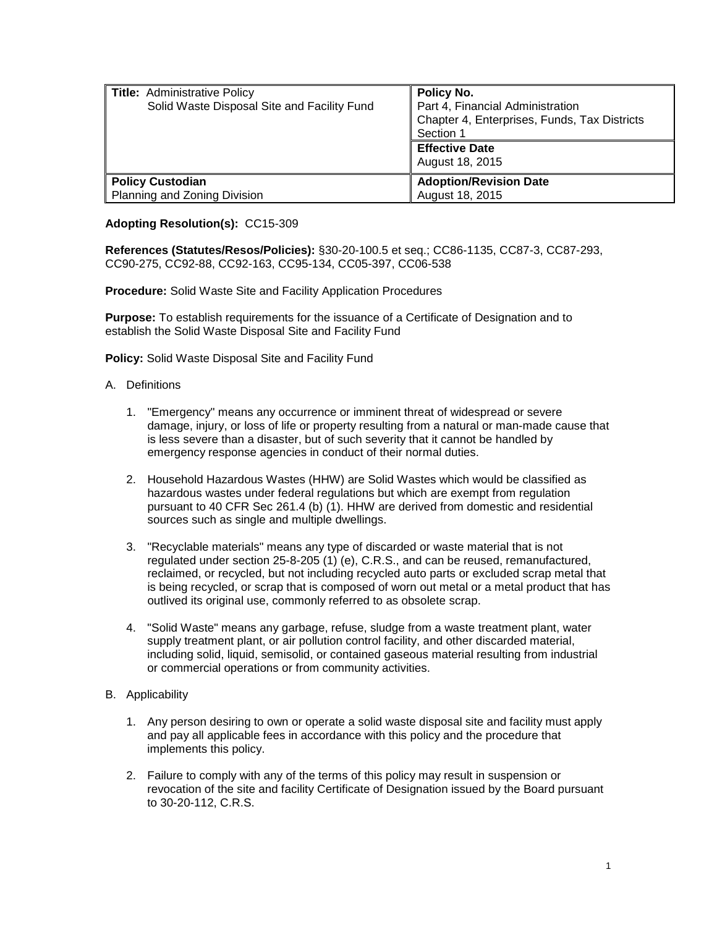| <b>Title: Administrative Policy</b><br>Solid Waste Disposal Site and Facility Fund | Policy No.<br>Part 4, Financial Administration<br>Chapter 4, Enterprises, Funds, Tax Districts<br>Section 1<br><b>Effective Date</b><br>August 18, 2015 |
|------------------------------------------------------------------------------------|---------------------------------------------------------------------------------------------------------------------------------------------------------|
| <b>Policy Custodian</b>                                                            | <b>Adoption/Revision Date</b>                                                                                                                           |
| Planning and Zoning Division                                                       | August 18, 2015                                                                                                                                         |

## **Adopting Resolution(s):** CC15-309

**References (Statutes/Resos/Policies):** §30-20-100.5 et seq.; CC86-1135, CC87-3, CC87-293, CC90-275, CC92-88, CC92-163, CC95-134, CC05-397, CC06-538

**Procedure:** Solid Waste Site and Facility Application Procedures

**Purpose:** To establish requirements for the issuance of a Certificate of Designation and to establish the Solid Waste Disposal Site and Facility Fund

**Policy:** Solid Waste Disposal Site and Facility Fund

- A. Definitions
	- 1. "Emergency" means any occurrence or imminent threat of widespread or severe damage, injury, or loss of life or property resulting from a natural or man-made cause that is less severe than a disaster, but of such severity that it cannot be handled by emergency response agencies in conduct of their normal duties.
	- 2. Household Hazardous Wastes (HHW) are Solid Wastes which would be classified as hazardous wastes under federal regulations but which are exempt from regulation pursuant to 40 CFR Sec 261.4 (b) (1). HHW are derived from domestic and residential sources such as single and multiple dwellings.
	- 3. "Recyclable materials" means any type of discarded or waste material that is not regulated under [section 25-8-205 \(1\) \(e\), C.R.S.,](http://web.lexisnexis.com/research/buttonTFLink?_m=d9b59f0d2ac540435bdad100576c385d&_xfercite=%3ccite%20cc%3d%22USA%22%3e%3c%21%5bCDATA%5bC.R.S.%2030-20-101%5d%5d%3e%3c%2fcite%3e&_butType=4&_butStat=0&_butNum=3&_butInline=1&_butinfo=COCODE%2025-8-205&_fmtstr=FULL&docnum=1&_startdoc=1&wchp=dGLzVzk-zSkAb&_md5=56c7d1b431bdc329c769708049324272) and can be reused, remanufactured, reclaimed, or recycled, but not including recycled auto parts or excluded scrap metal that is being recycled, or scrap that is composed of worn out metal or a metal product that has outlived its original use, commonly referred to as obsolete scrap.
	- 4. "Solid Waste" means any garbage, refuse, sludge from a waste treatment plant, water supply treatment plant, or air pollution control facility, and other discarded material, including solid, liquid, semisolid, or contained gaseous material resulting from industrial or commercial operations or from community activities.
- B. Applicability
	- 1. Any person desiring to own or operate a solid waste disposal site and facility must apply and pay all applicable fees in accordance with this policy and the procedure that implements this policy.
	- 2. Failure to comply with any of the terms of this policy may result in suspension or revocation of the site and facility Certificate of Designation issued by the Board pursuant to 30-20-112, C.R.S.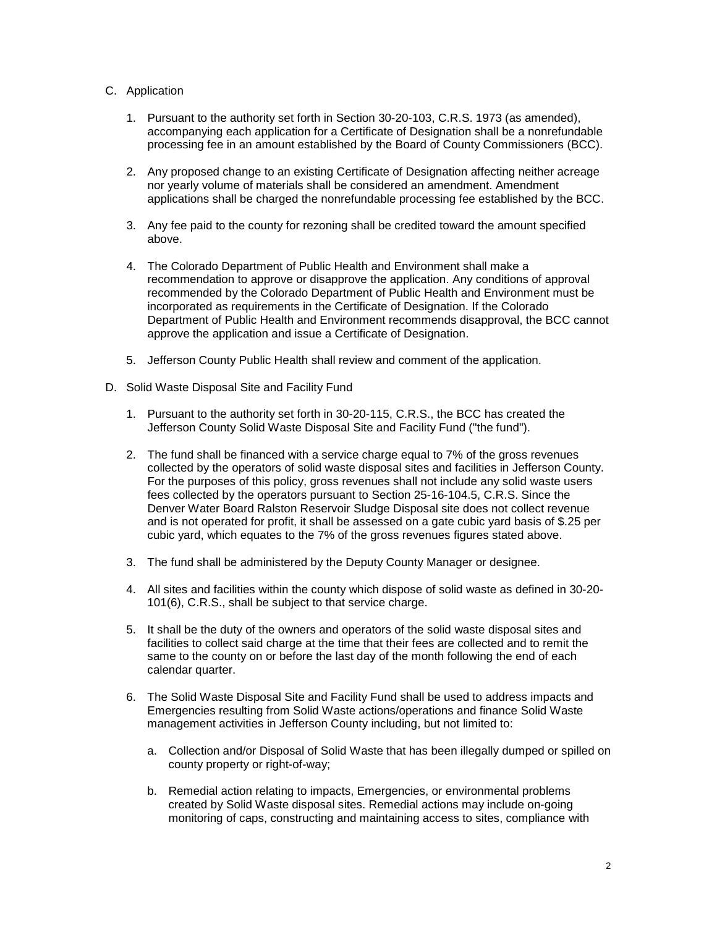## C. Application

- 1. Pursuant to the authority set forth in Section 30-20-103, C.R.S. 1973 (as amended), accompanying each application for a Certificate of Designation shall be a nonrefundable processing fee in an amount established by the Board of County Commissioners (BCC).
- 2. Any proposed change to an existing Certificate of Designation affecting neither acreage nor yearly volume of materials shall be considered an amendment. Amendment applications shall be charged the nonrefundable processing fee established by the BCC.
- 3. Any fee paid to the county for rezoning shall be credited toward the amount specified above.
- 4. The Colorado Department of Public Health and Environment shall make a recommendation to approve or disapprove the application. Any conditions of approval recommended by the Colorado Department of Public Health and Environment must be incorporated as requirements in the Certificate of Designation. If the Colorado Department of Public Health and Environment recommends disapproval, the BCC cannot approve the application and issue a Certificate of Designation.
- 5. Jefferson County Public Health shall review and comment of the application.
- D. Solid Waste Disposal Site and Facility Fund
	- 1. Pursuant to the authority set forth in 30-20-115, C.R.S., the BCC has created the Jefferson County Solid Waste Disposal Site and Facility Fund ("the fund").
	- 2. The fund shall be financed with a service charge equal to 7% of the gross revenues collected by the operators of solid waste disposal sites and facilities in Jefferson County. For the purposes of this policy, gross revenues shall not include any solid waste users fees collected by the operators pursuant to Section 25-16-104.5, C.R.S. Since the Denver Water Board Ralston Reservoir Sludge Disposal site does not collect revenue and is not operated for profit, it shall be assessed on a gate cubic yard basis of \$.25 per cubic yard, which equates to the 7% of the gross revenues figures stated above.
	- 3. The fund shall be administered by the Deputy County Manager or designee.
	- 4. All sites and facilities within the county which dispose of solid waste as defined in 30-20- 101(6), C.R.S., shall be subject to that service charge.
	- 5. It shall be the duty of the owners and operators of the solid waste disposal sites and facilities to collect said charge at the time that their fees are collected and to remit the same to the county on or before the last day of the month following the end of each calendar quarter.
	- 6. The Solid Waste Disposal Site and Facility Fund shall be used to address impacts and Emergencies resulting from Solid Waste actions/operations and finance Solid Waste management activities in Jefferson County including, but not limited to:
		- a. Collection and/or Disposal of Solid Waste that has been illegally dumped or spilled on county property or right-of-way;
		- b. Remedial action relating to impacts, Emergencies, or environmental problems created by Solid Waste disposal sites. Remedial actions may include on-going monitoring of caps, constructing and maintaining access to sites, compliance with